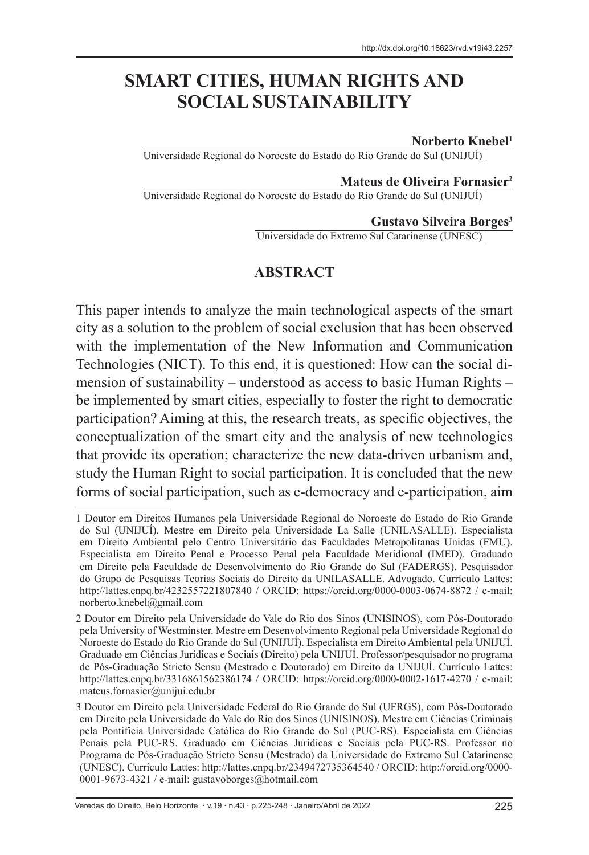# **SMART CITIES, HUMAN RIGHTS AND SOCIAL SUSTAINABILITY**

#### **Norberto Knebel1**

Universidade Regional do Noroeste do Estado do Rio Grande do Sul (UNIJUÍ)

#### **Mateus de Oliveira Fornasier2**

Universidade Regional do Noroeste do Estado do Rio Grande do Sul (UNIJUÍ)

#### **Gustavo Silveira Borges3**

Universidade do Extremo Sul Catarinense (UNESC)

### **ABSTRACT**

This paper intends to analyze the main technological aspects of the smart city as a solution to the problem of social exclusion that has been observed with the implementation of the New Information and Communication Technologies (NICT). To this end, it is questioned: How can the social dimension of sustainability – understood as access to basic Human Rights – be implemented by smart cities, especially to foster the right to democratic participation? Aiming at this, the research treats, as specific objectives, the conceptualization of the smart city and the analysis of new technologies that provide its operation; characterize the new data-driven urbanism and, study the Human Right to social participation. It is concluded that the new forms of social participation, such as e-democracy and e-participation, aim

<sup>1</sup> Doutor em Direitos Humanos pela Universidade Regional do Noroeste do Estado do Rio Grande do Sul (UNIJUÍ). Mestre em Direito pela Universidade La Salle (UNILASALLE). Especialista em Direito Ambiental pelo Centro Universitário das Faculdades Metropolitanas Unidas (FMU). Especialista em Direito Penal e Processo Penal pela Faculdade Meridional (IMED). Graduado em Direito pela Faculdade de Desenvolvimento do Rio Grande do Sul (FADERGS). Pesquisador do Grupo de Pesquisas Teorias Sociais do Direito da UNILASALLE. Advogado. Currículo Lattes: http://lattes.cnpq.br/4232557221807840 / ORCID: https://orcid.org/0000-0003-0674-8872 / e-mail: norberto.knebel@gmail.com

<sup>2</sup> Doutor em Direito pela Universidade do Vale do Rio dos Sinos (UNISINOS), com Pós-Doutorado pela University of Westminster. Mestre em Desenvolvimento Regional pela Universidade Regional do Noroeste do Estado do Rio Grande do Sul (UNIJUÍ). Especialista em Direito Ambiental pela UNIJUÍ. Graduado em Ciências Jurídicas e Sociais (Direito) pela UNIJUÍ. Professor/pesquisador no programa de Pós-Graduação Stricto Sensu (Mestrado e Doutorado) em Direito da UNIJUÍ. Currículo Lattes: http://lattes.cnpq.br/3316861562386174 / ORCID: https://orcid.org/0000-0002-1617-4270 / e-mail: mateus.fornasier@unijui.edu.br

<sup>3</sup> Doutor em Direito pela Universidade Federal do Rio Grande do Sul (UFRGS), com Pós-Doutorado em Direito pela Universidade do Vale do Rio dos Sinos (UNISINOS). Mestre em Ciências Criminais pela Pontifícia Universidade Católica do Rio Grande do Sul (PUC-RS). Especialista em Ciências Penais pela PUC-RS. Graduado em Ciências Jurídicas e Sociais pela PUC-RS. Professor no Programa de Pós-Graduação Stricto Sensu (Mestrado) da Universidade do Extremo Sul Catarinense (UNESC). Currículo Lattes: http://lattes.cnpq.br/2349472735364540 / ORCID: http://orcid.org/0000- 0001-9673-4321 / e-mail: gustavoborges@hotmail.com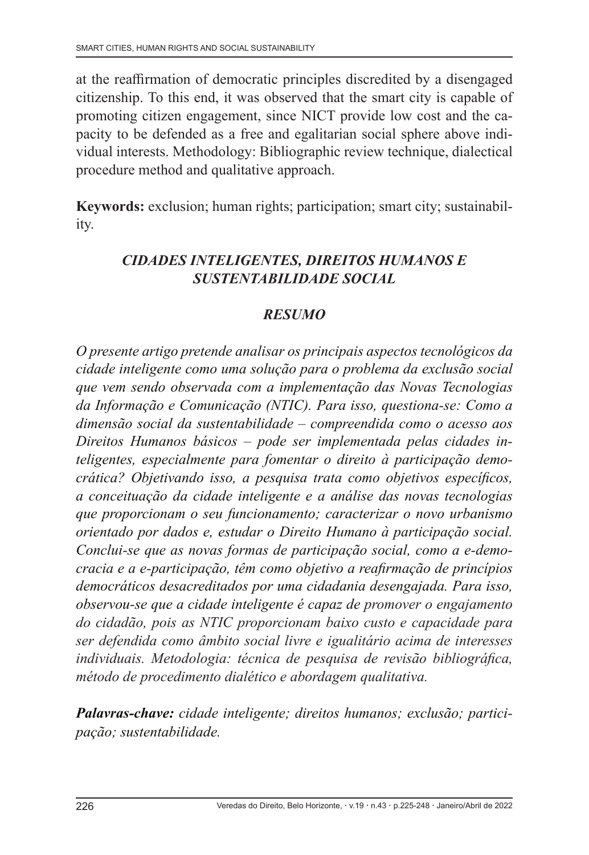at the reaffirmation of democratic principles discredited by a disengaged citizenship. To this end, it was observed that the smart city is capable of promoting citizen engagement, since NICT provide low cost and the capacity to be defended as a free and egalitarian social sphere above individual interests. Methodology: Bibliographic review technique, dialectical procedure method and qualitative approach.

**Keywords:** exclusion; human rights; participation; smart city; sustainability.

## *CIDADES INTELIGENTES, DIREITOS HUMANOS E SUSTENTABILIDADE SOCIAL*

## *RESUMO*

*O presente artigo pretende analisar os principais aspectos tecnológicos da cidade inteligente como uma solução para o problema da exclusão social que vem sendo observada com a implementação das Novas Tecnologias da Informação e Comunicação (NTIC). Para isso, questiona-se: Como a dimensão social da sustentabilidade – compreendida como o acesso aos Direitos Humanos básicos – pode ser implementada pelas cidades inteligentes, especialmente para fomentar o direito à participação democrática? Objetivando isso, a pesquisa trata como objetivos específicos, a conceituação da cidade inteligente e a análise das novas tecnologias que proporcionam o seu funcionamento; caracterizar o novo urbanismo orientado por dados e, estudar o Direito Humano à participação social. Conclui-se que as novas formas de participação social, como a e-democracia e a e-participação, têm como objetivo a reafirmação de princípios democráticos desacreditados por uma cidadania desengajada. Para isso, observou-se que a cidade inteligente é capaz de promover o engajamento do cidadão, pois as NTIC proporcionam baixo custo e capacidade para ser defendida como âmbito social livre e igualitário acima de interesses individuais. Metodologia: técnica de pesquisa de revisão bibliográfica, método de procedimento dialético e abordagem qualitativa.*

*Palavras-chave: cidade inteligente; direitos humanos; exclusão; participação; sustentabilidade.*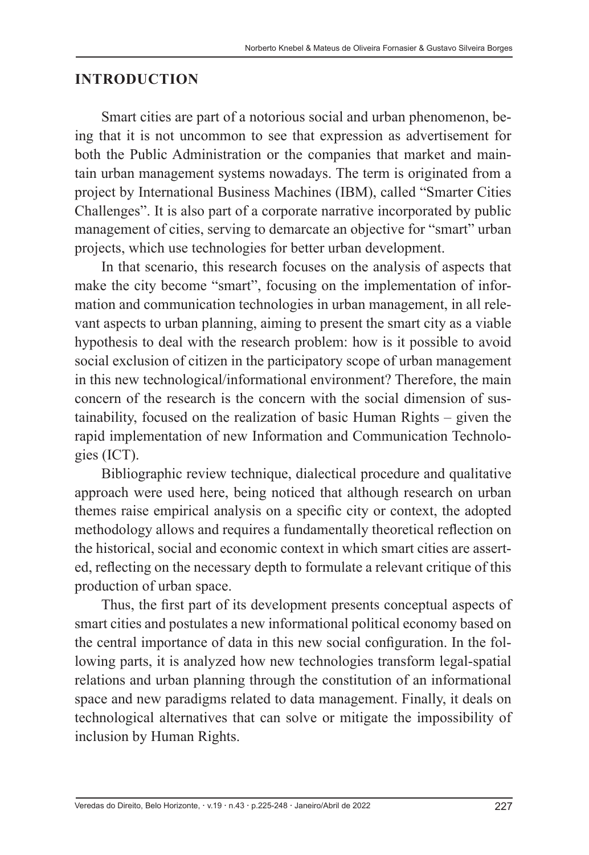### **INTRODUCTION**

Smart cities are part of a notorious social and urban phenomenon, being that it is not uncommon to see that expression as advertisement for both the Public Administration or the companies that market and maintain urban management systems nowadays. The term is originated from a project by International Business Machines (IBM), called "Smarter Cities Challenges". It is also part of a corporate narrative incorporated by public management of cities, serving to demarcate an objective for "smart" urban projects, which use technologies for better urban development.

In that scenario, this research focuses on the analysis of aspects that make the city become "smart", focusing on the implementation of information and communication technologies in urban management, in all relevant aspects to urban planning, aiming to present the smart city as a viable hypothesis to deal with the research problem: how is it possible to avoid social exclusion of citizen in the participatory scope of urban management in this new technological/informational environment? Therefore, the main concern of the research is the concern with the social dimension of sustainability, focused on the realization of basic Human Rights – given the rapid implementation of new Information and Communication Technologies (ICT).

Bibliographic review technique, dialectical procedure and qualitative approach were used here, being noticed that although research on urban themes raise empirical analysis on a specific city or context, the adopted methodology allows and requires a fundamentally theoretical reflection on the historical, social and economic context in which smart cities are asserted, reflecting on the necessary depth to formulate a relevant critique of this production of urban space.

Thus, the first part of its development presents conceptual aspects of smart cities and postulates a new informational political economy based on the central importance of data in this new social configuration. In the following parts, it is analyzed how new technologies transform legal-spatial relations and urban planning through the constitution of an informational space and new paradigms related to data management. Finally, it deals on technological alternatives that can solve or mitigate the impossibility of inclusion by Human Rights.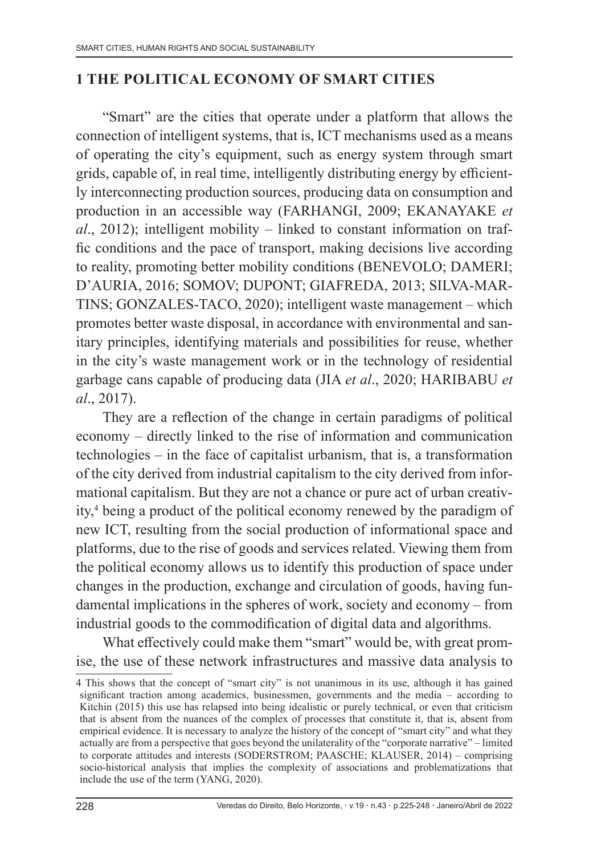### **1 THE POLITICAL ECONOMY OF SMART CITIES**

"Smart" are the cities that operate under a platform that allows the connection of intelligent systems, that is, ICT mechanisms used as a means of operating the city's equipment, such as energy system through smart grids, capable of, in real time, intelligently distributing energy by efficiently interconnecting production sources, producing data on consumption and production in an accessible way (FARHANGI, 2009; EKANAYAKE *et al*., 2012); intelligent mobility – linked to constant information on traffic conditions and the pace of transport, making decisions live according to reality, promoting better mobility conditions (BENEVOLO; DAMERI; D'AURIA, 2016; SOMOV; DUPONT; GIAFREDA, 2013; SILVA-MAR-TINS; GONZALES-TACO, 2020); intelligent waste management – which promotes better waste disposal, in accordance with environmental and sanitary principles, identifying materials and possibilities for reuse, whether in the city's waste management work or in the technology of residential garbage cans capable of producing data (JIA *et al*., 2020; HARIBABU *et al*., 2017).

They are a reflection of the change in certain paradigms of political economy – directly linked to the rise of information and communication technologies – in the face of capitalist urbanism, that is, a transformation of the city derived from industrial capitalism to the city derived from informational capitalism. But they are not a chance or pure act of urban creativity,4 being a product of the political economy renewed by the paradigm of new ICT, resulting from the social production of informational space and platforms, due to the rise of goods and services related. Viewing them from the political economy allows us to identify this production of space under changes in the production, exchange and circulation of goods, having fundamental implications in the spheres of work, society and economy – from industrial goods to the commodification of digital data and algorithms.

What effectively could make them "smart" would be, with great promise, the use of these network infrastructures and massive data analysis to

<sup>4</sup> This shows that the concept of "smart city" is not unanimous in its use, although it has gained significant traction among academics, businessmen, governments and the media – according to Kitchin (2015) this use has relapsed into being idealistic or purely technical, or even that criticism that is absent from the nuances of the complex of processes that constitute it, that is, absent from empirical evidence. It is necessary to analyze the history of the concept of "smart city" and what they actually are from a perspective that goes beyond the unilaterality of the "corporate narrative" – limited to corporate attitudes and interests (SODERSTROM; PAASCHE; KLAUSER, 2014) – comprising socio-historical analysis that implies the complexity of associations and problematizations that include the use of the term (YANG, 2020).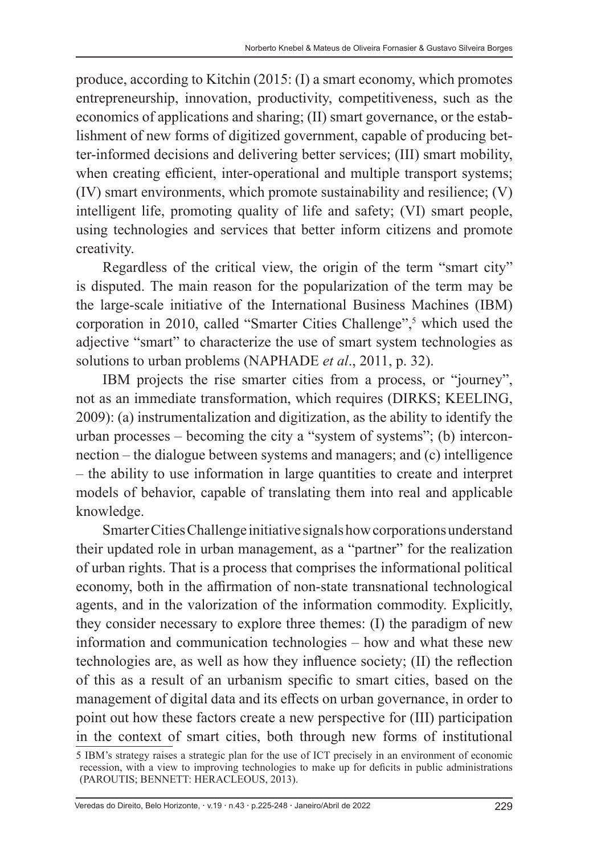produce, according to Kitchin (2015: (I) a smart economy, which promotes entrepreneurship, innovation, productivity, competitiveness, such as the economics of applications and sharing; (II) smart governance, or the establishment of new forms of digitized government, capable of producing better-informed decisions and delivering better services; (III) smart mobility, when creating efficient, inter-operational and multiple transport systems; (IV) smart environments, which promote sustainability and resilience; (V) intelligent life, promoting quality of life and safety; (VI) smart people, using technologies and services that better inform citizens and promote creativity.

Regardless of the critical view, the origin of the term "smart city" is disputed. The main reason for the popularization of the term may be the large-scale initiative of the International Business Machines (IBM) corporation in 2010, called "Smarter Cities Challenge",<sup>5</sup> which used the adjective "smart" to characterize the use of smart system technologies as solutions to urban problems (NAPHADE *et al*., 2011, p. 32).

IBM projects the rise smarter cities from a process, or "journey", not as an immediate transformation, which requires (DIRKS; KEELING, 2009): (a) instrumentalization and digitization, as the ability to identify the urban processes – becoming the city a "system of systems"; (b) interconnection – the dialogue between systems and managers; and (c) intelligence – the ability to use information in large quantities to create and interpret models of behavior, capable of translating them into real and applicable knowledge.

Smarter Cities Challenge initiative signals how corporations understand their updated role in urban management, as a "partner" for the realization of urban rights. That is a process that comprises the informational political economy, both in the affirmation of non-state transnational technological agents, and in the valorization of the information commodity. Explicitly, they consider necessary to explore three themes: (I) the paradigm of new information and communication technologies – how and what these new technologies are, as well as how they influence society; (II) the reflection of this as a result of an urbanism specific to smart cities, based on the management of digital data and its effects on urban governance, in order to point out how these factors create a new perspective for (III) participation in the context of smart cities, both through new forms of institutional

<sup>5</sup> IBM's strategy raises a strategic plan for the use of ICT precisely in an environment of economic recession, with a view to improving technologies to make up for deficits in public administrations (PAROUTIS; BENNETT: HERACLEOUS, 2013).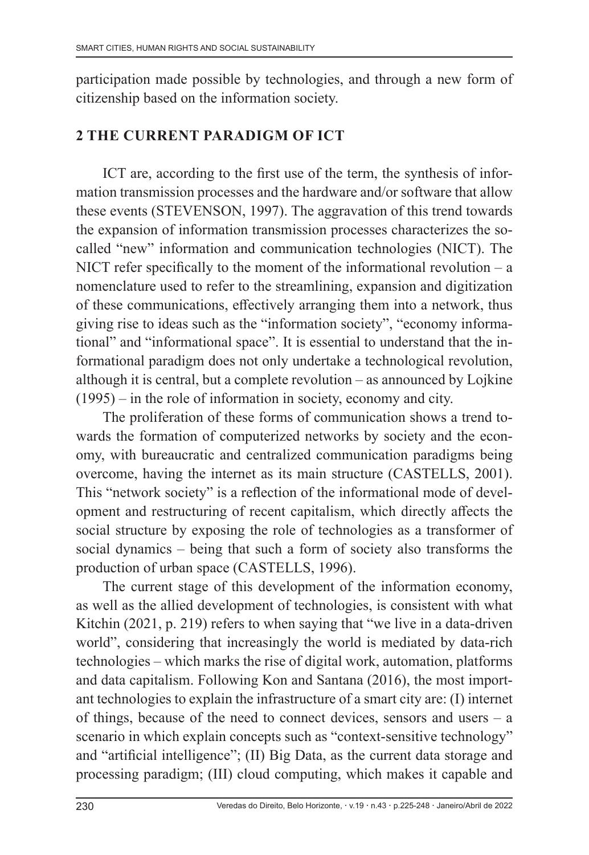participation made possible by technologies, and through a new form of citizenship based on the information society.

## **2 THE CURRENT PARADIGM OF ICT**

ICT are, according to the first use of the term, the synthesis of information transmission processes and the hardware and/or software that allow these events (STEVENSON, 1997). The aggravation of this trend towards the expansion of information transmission processes characterizes the socalled "new" information and communication technologies (NICT). The NICT refer specifically to the moment of the informational revolution  $-$  a nomenclature used to refer to the streamlining, expansion and digitization of these communications, effectively arranging them into a network, thus giving rise to ideas such as the "information society", "economy informational" and "informational space". It is essential to understand that the informational paradigm does not only undertake a technological revolution, although it is central, but a complete revolution – as announced by Lojkine (1995) – in the role of information in society, economy and city.

The proliferation of these forms of communication shows a trend towards the formation of computerized networks by society and the economy, with bureaucratic and centralized communication paradigms being overcome, having the internet as its main structure (CASTELLS, 2001). This "network society" is a reflection of the informational mode of development and restructuring of recent capitalism, which directly affects the social structure by exposing the role of technologies as a transformer of social dynamics – being that such a form of society also transforms the production of urban space (CASTELLS, 1996).

The current stage of this development of the information economy, as well as the allied development of technologies, is consistent with what Kitchin (2021, p. 219) refers to when saying that "we live in a data-driven world", considering that increasingly the world is mediated by data-rich technologies – which marks the rise of digital work, automation, platforms and data capitalism. Following Kon and Santana (2016), the most important technologies to explain the infrastructure of a smart city are: (I) internet of things, because of the need to connect devices, sensors and users – a scenario in which explain concepts such as "context-sensitive technology" and "artificial intelligence"; (II) Big Data, as the current data storage and processing paradigm; (III) cloud computing, which makes it capable and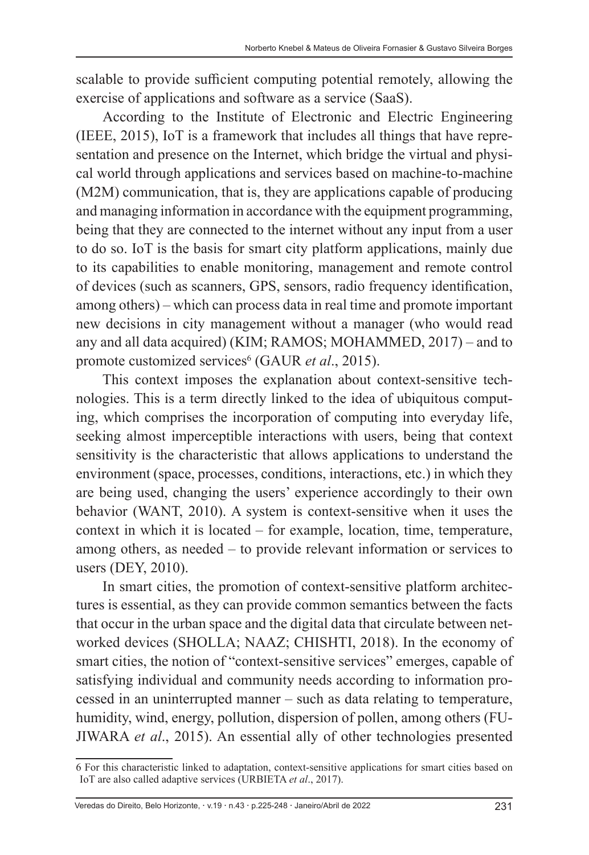scalable to provide sufficient computing potential remotely, allowing the exercise of applications and software as a service (SaaS).

According to the Institute of Electronic and Electric Engineering (IEEE, 2015), IoT is a framework that includes all things that have representation and presence on the Internet, which bridge the virtual and physical world through applications and services based on machine-to-machine (M2M) communication, that is, they are applications capable of producing and managing information in accordance with the equipment programming, being that they are connected to the internet without any input from a user to do so. IoT is the basis for smart city platform applications, mainly due to its capabilities to enable monitoring, management and remote control of devices (such as scanners, GPS, sensors, radio frequency identification, among others) – which can process data in real time and promote important new decisions in city management without a manager (who would read any and all data acquired) (KIM; RAMOS; MOHAMMED, 2017) – and to promote customized services<sup>6</sup> (GAUR *et al.*, 2015).

This context imposes the explanation about context-sensitive technologies. This is a term directly linked to the idea of ubiquitous computing, which comprises the incorporation of computing into everyday life, seeking almost imperceptible interactions with users, being that context sensitivity is the characteristic that allows applications to understand the environment (space, processes, conditions, interactions, etc.) in which they are being used, changing the users' experience accordingly to their own behavior (WANT, 2010). A system is context-sensitive when it uses the context in which it is located – for example, location, time, temperature, among others, as needed – to provide relevant information or services to users (DEY, 2010).

In smart cities, the promotion of context-sensitive platform architectures is essential, as they can provide common semantics between the facts that occur in the urban space and the digital data that circulate between networked devices (SHOLLA; NAAZ; CHISHTI, 2018). In the economy of smart cities, the notion of "context-sensitive services" emerges, capable of satisfying individual and community needs according to information processed in an uninterrupted manner – such as data relating to temperature, humidity, wind, energy, pollution, dispersion of pollen, among others (FU-JIWARA *et al*., 2015). An essential ally of other technologies presented

<sup>6</sup> For this characteristic linked to adaptation, context-sensitive applications for smart cities based on IoT are also called adaptive services (URBIETA *et al*., 2017).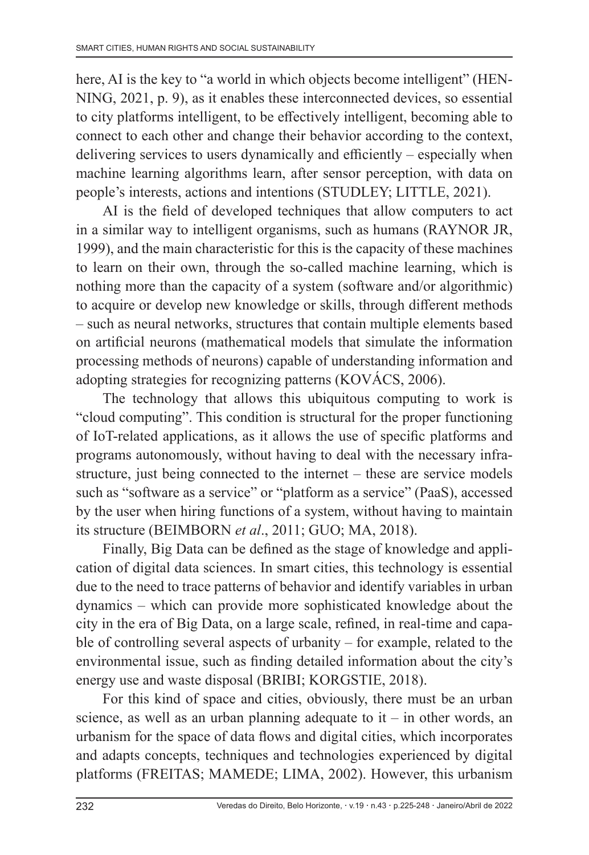here, AI is the key to "a world in which objects become intelligent" (HEN-NING, 2021, p. 9), as it enables these interconnected devices, so essential to city platforms intelligent, to be effectively intelligent, becoming able to connect to each other and change their behavior according to the context, delivering services to users dynamically and efficiently – especially when machine learning algorithms learn, after sensor perception, with data on people's interests, actions and intentions (STUDLEY; LITTLE, 2021).

AI is the field of developed techniques that allow computers to act in a similar way to intelligent organisms, such as humans (RAYNOR JR, 1999), and the main characteristic for this is the capacity of these machines to learn on their own, through the so-called machine learning, which is nothing more than the capacity of a system (software and/or algorithmic) to acquire or develop new knowledge or skills, through different methods – such as neural networks, structures that contain multiple elements based on artificial neurons (mathematical models that simulate the information processing methods of neurons) capable of understanding information and adopting strategies for recognizing patterns (KOVÁCS, 2006).

The technology that allows this ubiquitous computing to work is "cloud computing". This condition is structural for the proper functioning of IoT-related applications, as it allows the use of specific platforms and programs autonomously, without having to deal with the necessary infrastructure, just being connected to the internet – these are service models such as "software as a service" or "platform as a service" (PaaS), accessed by the user when hiring functions of a system, without having to maintain its structure (BEIMBORN *et al*., 2011; GUO; MA, 2018).

Finally, Big Data can be defined as the stage of knowledge and application of digital data sciences. In smart cities, this technology is essential due to the need to trace patterns of behavior and identify variables in urban dynamics – which can provide more sophisticated knowledge about the city in the era of Big Data, on a large scale, refined, in real-time and capable of controlling several aspects of urbanity – for example, related to the environmental issue, such as finding detailed information about the city's energy use and waste disposal (BRIBI; KORGSTIE, 2018).

For this kind of space and cities, obviously, there must be an urban science, as well as an urban planning adequate to  $it - in$  other words, an urbanism for the space of data flows and digital cities, which incorporates and adapts concepts, techniques and technologies experienced by digital platforms (FREITAS; MAMEDE; LIMA, 2002). However, this urbanism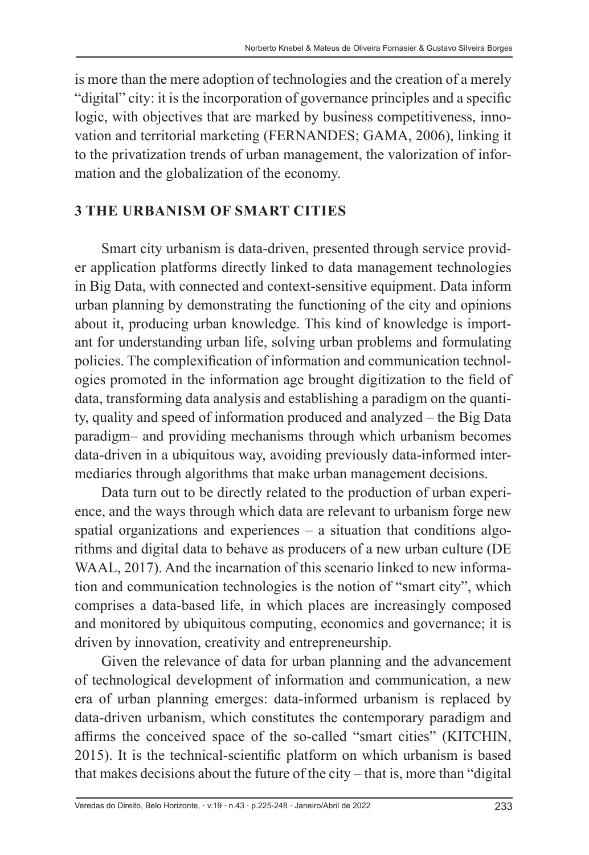is more than the mere adoption of technologies and the creation of a merely "digital" city: it is the incorporation of governance principles and a specific logic, with objectives that are marked by business competitiveness, innovation and territorial marketing (FERNANDES; GAMA, 2006), linking it to the privatization trends of urban management, the valorization of information and the globalization of the economy.

## **3 THE URBANISM OF SMART CITIES**

Smart city urbanism is data-driven, presented through service provider application platforms directly linked to data management technologies in Big Data, with connected and context-sensitive equipment. Data inform urban planning by demonstrating the functioning of the city and opinions about it, producing urban knowledge. This kind of knowledge is important for understanding urban life, solving urban problems and formulating policies. The complexification of information and communication technologies promoted in the information age brought digitization to the field of data, transforming data analysis and establishing a paradigm on the quantity, quality and speed of information produced and analyzed – the Big Data paradigm– and providing mechanisms through which urbanism becomes data-driven in a ubiquitous way, avoiding previously data-informed intermediaries through algorithms that make urban management decisions.

Data turn out to be directly related to the production of urban experience, and the ways through which data are relevant to urbanism forge new spatial organizations and experiences – a situation that conditions algorithms and digital data to behave as producers of a new urban culture (DE WAAL, 2017). And the incarnation of this scenario linked to new information and communication technologies is the notion of "smart city", which comprises a data-based life, in which places are increasingly composed and monitored by ubiquitous computing, economics and governance; it is driven by innovation, creativity and entrepreneurship.

Given the relevance of data for urban planning and the advancement of technological development of information and communication, a new era of urban planning emerges: data-informed urbanism is replaced by data-driven urbanism, which constitutes the contemporary paradigm and affirms the conceived space of the so-called "smart cities" (KITCHIN, 2015). It is the technical-scientific platform on which urbanism is based that makes decisions about the future of the city – that is, more than "digital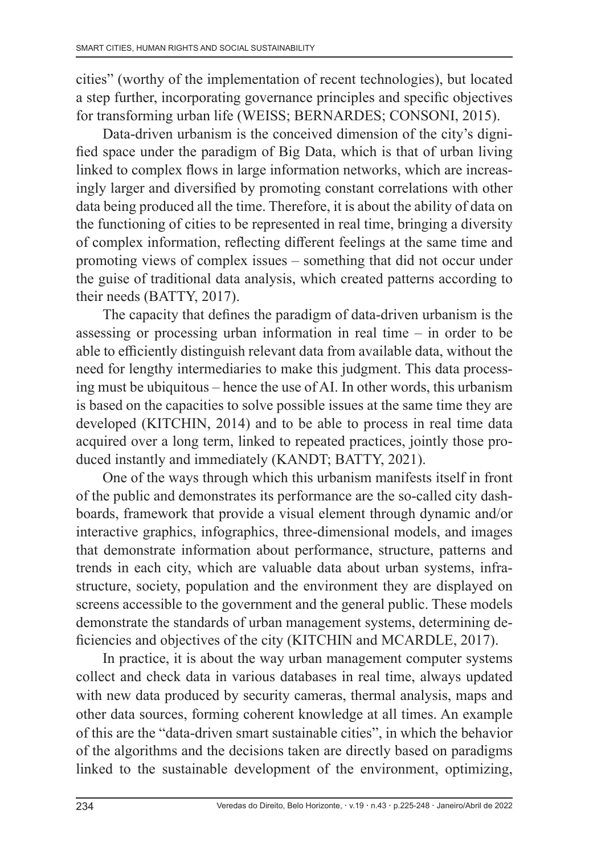cities" (worthy of the implementation of recent technologies), but located a step further, incorporating governance principles and specific objectives for transforming urban life (WEISS; BERNARDES; CONSONI, 2015).

Data-driven urbanism is the conceived dimension of the city's dignified space under the paradigm of Big Data, which is that of urban living linked to complex flows in large information networks, which are increasingly larger and diversified by promoting constant correlations with other data being produced all the time. Therefore, it is about the ability of data on the functioning of cities to be represented in real time, bringing a diversity of complex information, reflecting different feelings at the same time and promoting views of complex issues – something that did not occur under the guise of traditional data analysis, which created patterns according to their needs (BATTY, 2017).

The capacity that defines the paradigm of data-driven urbanism is the assessing or processing urban information in real time – in order to be able to efficiently distinguish relevant data from available data, without the need for lengthy intermediaries to make this judgment. This data processing must be ubiquitous – hence the use of AI. In other words, this urbanism is based on the capacities to solve possible issues at the same time they are developed (KITCHIN, 2014) and to be able to process in real time data acquired over a long term, linked to repeated practices, jointly those produced instantly and immediately (KANDT; BATTY, 2021).

One of the ways through which this urbanism manifests itself in front of the public and demonstrates its performance are the so-called city dashboards, framework that provide a visual element through dynamic and/or interactive graphics, infographics, three-dimensional models, and images that demonstrate information about performance, structure, patterns and trends in each city, which are valuable data about urban systems, infrastructure, society, population and the environment they are displayed on screens accessible to the government and the general public. These models demonstrate the standards of urban management systems, determining deficiencies and objectives of the city (KITCHIN and MCARDLE, 2017).

In practice, it is about the way urban management computer systems collect and check data in various databases in real time, always updated with new data produced by security cameras, thermal analysis, maps and other data sources, forming coherent knowledge at all times. An example of this are the "data-driven smart sustainable cities", in which the behavior of the algorithms and the decisions taken are directly based on paradigms linked to the sustainable development of the environment, optimizing,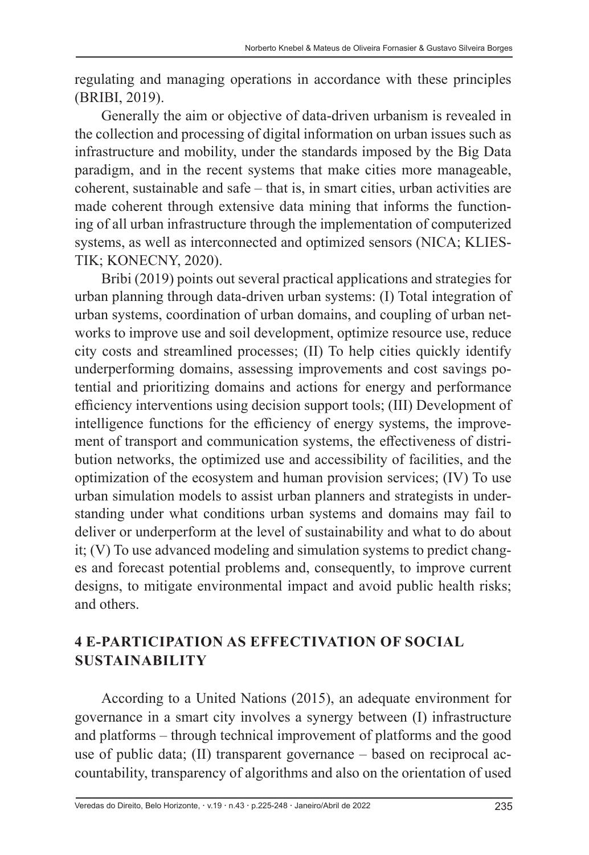regulating and managing operations in accordance with these principles (BRIBI, 2019).

Generally the aim or objective of data-driven urbanism is revealed in the collection and processing of digital information on urban issues such as infrastructure and mobility, under the standards imposed by the Big Data paradigm, and in the recent systems that make cities more manageable, coherent, sustainable and safe – that is, in smart cities, urban activities are made coherent through extensive data mining that informs the functioning of all urban infrastructure through the implementation of computerized systems, as well as interconnected and optimized sensors (NICA; KLIES-TIK; KONECNY, 2020).

Bribi (2019) points out several practical applications and strategies for urban planning through data-driven urban systems: (I) Total integration of urban systems, coordination of urban domains, and coupling of urban networks to improve use and soil development, optimize resource use, reduce city costs and streamlined processes; (II) To help cities quickly identify underperforming domains, assessing improvements and cost savings potential and prioritizing domains and actions for energy and performance efficiency interventions using decision support tools; (III) Development of intelligence functions for the efficiency of energy systems, the improvement of transport and communication systems, the effectiveness of distribution networks, the optimized use and accessibility of facilities, and the optimization of the ecosystem and human provision services; (IV) To use urban simulation models to assist urban planners and strategists in understanding under what conditions urban systems and domains may fail to deliver or underperform at the level of sustainability and what to do about it; (V) To use advanced modeling and simulation systems to predict changes and forecast potential problems and, consequently, to improve current designs, to mitigate environmental impact and avoid public health risks; and others.

## **4 E-PARTICIPATION AS EFFECTIVATION OF SOCIAL SUSTAINABILITY**

According to a United Nations (2015), an adequate environment for governance in a smart city involves a synergy between (I) infrastructure and platforms – through technical improvement of platforms and the good use of public data; (II) transparent governance – based on reciprocal accountability, transparency of algorithms and also on the orientation of used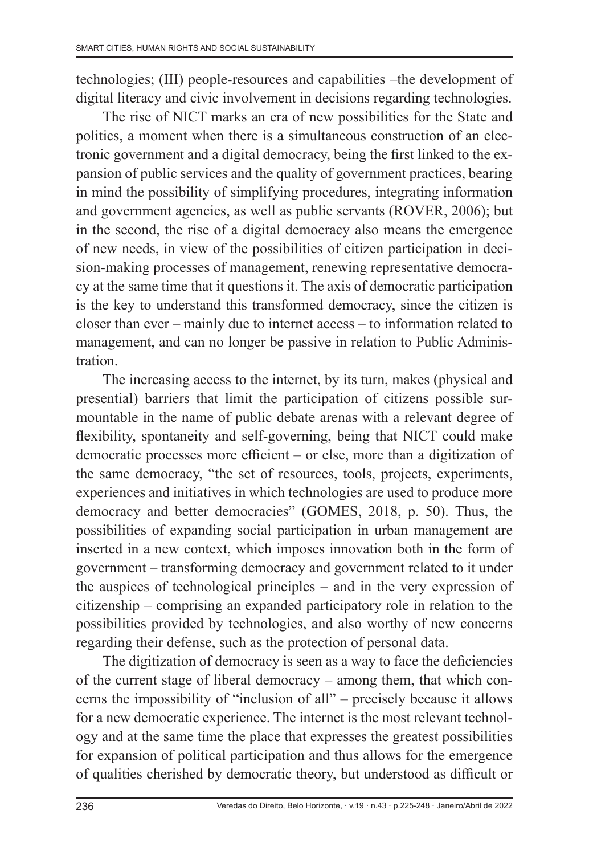technologies; (III) people-resources and capabilities –the development of digital literacy and civic involvement in decisions regarding technologies.

The rise of NICT marks an era of new possibilities for the State and politics, a moment when there is a simultaneous construction of an electronic government and a digital democracy, being the first linked to the expansion of public services and the quality of government practices, bearing in mind the possibility of simplifying procedures, integrating information and government agencies, as well as public servants (ROVER, 2006); but in the second, the rise of a digital democracy also means the emergence of new needs, in view of the possibilities of citizen participation in decision-making processes of management, renewing representative democracy at the same time that it questions it. The axis of democratic participation is the key to understand this transformed democracy, since the citizen is closer than ever – mainly due to internet access – to information related to management, and can no longer be passive in relation to Public Administration.

The increasing access to the internet, by its turn, makes (physical and presential) barriers that limit the participation of citizens possible surmountable in the name of public debate arenas with a relevant degree of flexibility, spontaneity and self-governing, being that NICT could make democratic processes more efficient – or else, more than a digitization of the same democracy, "the set of resources, tools, projects, experiments, experiences and initiatives in which technologies are used to produce more democracy and better democracies" (GOMES, 2018, p. 50). Thus, the possibilities of expanding social participation in urban management are inserted in a new context, which imposes innovation both in the form of government – transforming democracy and government related to it under the auspices of technological principles – and in the very expression of citizenship – comprising an expanded participatory role in relation to the possibilities provided by technologies, and also worthy of new concerns regarding their defense, such as the protection of personal data.

The digitization of democracy is seen as a way to face the deficiencies of the current stage of liberal democracy – among them, that which concerns the impossibility of "inclusion of all" – precisely because it allows for a new democratic experience. The internet is the most relevant technology and at the same time the place that expresses the greatest possibilities for expansion of political participation and thus allows for the emergence of qualities cherished by democratic theory, but understood as difficult or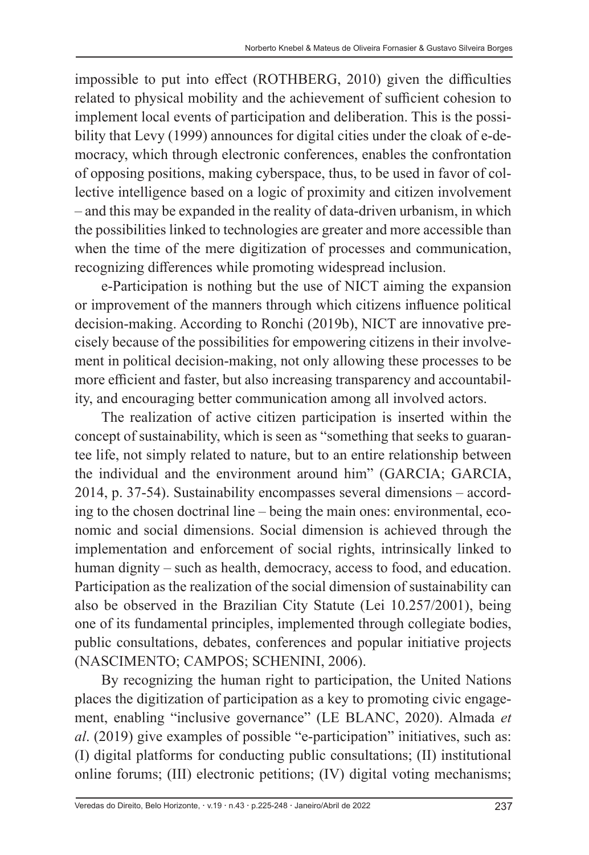impossible to put into effect (ROTHBERG, 2010) given the difficulties related to physical mobility and the achievement of sufficient cohesion to implement local events of participation and deliberation. This is the possibility that Levy (1999) announces for digital cities under the cloak of e-democracy, which through electronic conferences, enables the confrontation of opposing positions, making cyberspace, thus, to be used in favor of collective intelligence based on a logic of proximity and citizen involvement – and this may be expanded in the reality of data-driven urbanism, in which the possibilities linked to technologies are greater and more accessible than when the time of the mere digitization of processes and communication, recognizing differences while promoting widespread inclusion.

e-Participation is nothing but the use of NICT aiming the expansion or improvement of the manners through which citizens influence political decision-making. According to Ronchi (2019b), NICT are innovative precisely because of the possibilities for empowering citizens in their involvement in political decision-making, not only allowing these processes to be more efficient and faster, but also increasing transparency and accountability, and encouraging better communication among all involved actors.

The realization of active citizen participation is inserted within the concept of sustainability, which is seen as "something that seeks to guarantee life, not simply related to nature, but to an entire relationship between the individual and the environment around him" (GARCIA; GARCIA, 2014, p. 37-54). Sustainability encompasses several dimensions – according to the chosen doctrinal line – being the main ones: environmental, economic and social dimensions. Social dimension is achieved through the implementation and enforcement of social rights, intrinsically linked to human dignity – such as health, democracy, access to food, and education. Participation as the realization of the social dimension of sustainability can also be observed in the Brazilian City Statute (Lei 10.257/2001), being one of its fundamental principles, implemented through collegiate bodies, public consultations, debates, conferences and popular initiative projects (NASCIMENTO; CAMPOS; SCHENINI, 2006).

By recognizing the human right to participation, the United Nations places the digitization of participation as a key to promoting civic engagement, enabling "inclusive governance" (LE BLANC, 2020). Almada *et al*. (2019) give examples of possible "e-participation" initiatives, such as: (I) digital platforms for conducting public consultations; (II) institutional online forums; (III) electronic petitions; (IV) digital voting mechanisms;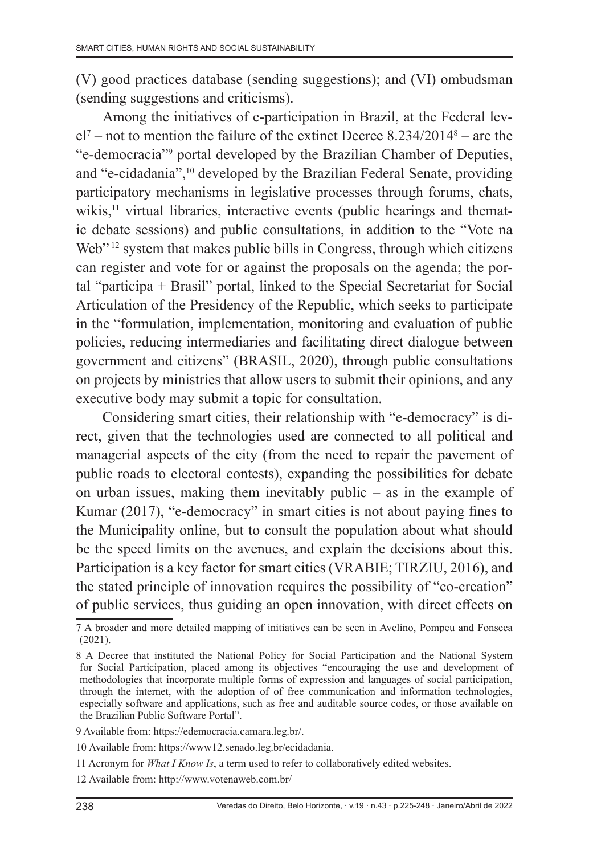(V) good practices database (sending suggestions); and (VI) ombudsman (sending suggestions and criticisms).

Among the initiatives of e-participation in Brazil, at the Federal lev $el<sup>7</sup>$  – not to mention the failure of the extinct Decree 8.234/2014<sup>8</sup> – are the "e-democracia"<sup>9</sup> portal developed by the Brazilian Chamber of Deputies, and "e-cidadania",10 developed by the Brazilian Federal Senate, providing participatory mechanisms in legislative processes through forums, chats, wikis,<sup>11</sup> virtual libraries, interactive events (public hearings and thematic debate sessions) and public consultations, in addition to the "Vote na Web"<sup>12</sup> system that makes public bills in Congress, through which citizens can register and vote for or against the proposals on the agenda; the portal "participa + Brasil" portal, linked to the Special Secretariat for Social Articulation of the Presidency of the Republic, which seeks to participate in the "formulation, implementation, monitoring and evaluation of public policies, reducing intermediaries and facilitating direct dialogue between government and citizens" (BRASIL, 2020), through public consultations on projects by ministries that allow users to submit their opinions, and any executive body may submit a topic for consultation.

Considering smart cities, their relationship with "e-democracy" is direct, given that the technologies used are connected to all political and managerial aspects of the city (from the need to repair the pavement of public roads to electoral contests), expanding the possibilities for debate on urban issues, making them inevitably public – as in the example of Kumar (2017), "e-democracy" in smart cities is not about paying fines to the Municipality online, but to consult the population about what should be the speed limits on the avenues, and explain the decisions about this. Participation is a key factor for smart cities (VRABIE; TIRZIU, 2016), and the stated principle of innovation requires the possibility of "co-creation" of public services, thus guiding an open innovation, with direct effects on

<sup>7</sup> A broader and more detailed mapping of initiatives can be seen in Avelino, Pompeu and Fonseca (2021).

<sup>8</sup> A Decree that instituted the National Policy for Social Participation and the National System for Social Participation, placed among its objectives "encouraging the use and development of methodologies that incorporate multiple forms of expression and languages of social participation, through the internet, with the adoption of of free communication and information technologies, especially software and applications, such as free and auditable source codes, or those available on the Brazilian Public Software Portal".

<sup>9</sup> Available from: https://edemocracia.camara.leg.br/.

<sup>10</sup> Available from: https://www12.senado.leg.br/ecidadania.

<sup>11</sup> Acronym for *What I Know Is*, a term used to refer to collaboratively edited websites.

<sup>12</sup> Available from: http://www.votenaweb.com.br/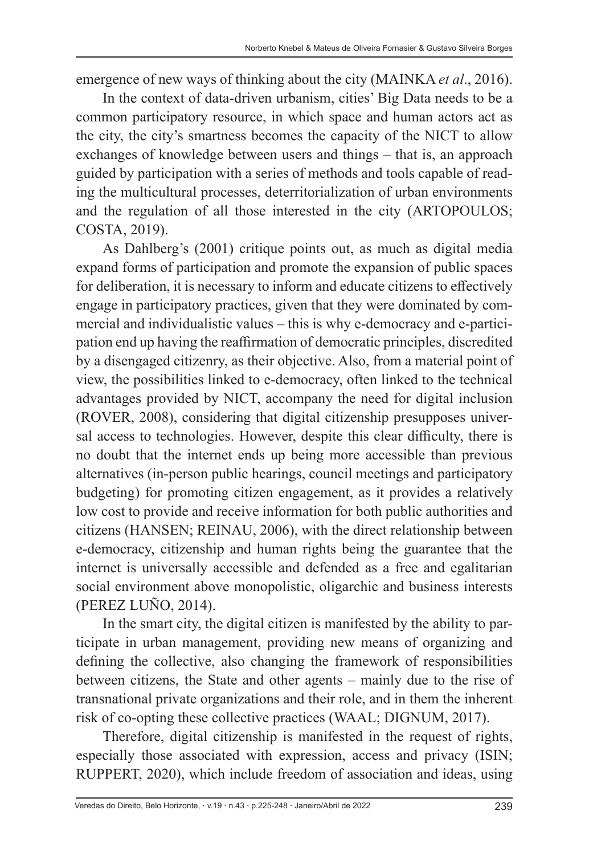emergence of new ways of thinking about the city (MAINKA *et al*., 2016).

In the context of data-driven urbanism, cities' Big Data needs to be a common participatory resource, in which space and human actors act as the city, the city's smartness becomes the capacity of the NICT to allow exchanges of knowledge between users and things – that is, an approach guided by participation with a series of methods and tools capable of reading the multicultural processes, deterritorialization of urban environments and the regulation of all those interested in the city (ARTOPOULOS; COSTA, 2019).

As Dahlberg's (2001) critique points out, as much as digital media expand forms of participation and promote the expansion of public spaces for deliberation, it is necessary to inform and educate citizens to effectively engage in participatory practices, given that they were dominated by commercial and individualistic values – this is why e-democracy and e-participation end up having the reaffirmation of democratic principles, discredited by a disengaged citizenry, as their objective. Also, from a material point of view, the possibilities linked to e-democracy, often linked to the technical advantages provided by NICT, accompany the need for digital inclusion (ROVER, 2008), considering that digital citizenship presupposes universal access to technologies. However, despite this clear difficulty, there is no doubt that the internet ends up being more accessible than previous alternatives (in-person public hearings, council meetings and participatory budgeting) for promoting citizen engagement, as it provides a relatively low cost to provide and receive information for both public authorities and citizens (HANSEN; REINAU, 2006), with the direct relationship between e-democracy, citizenship and human rights being the guarantee that the internet is universally accessible and defended as a free and egalitarian social environment above monopolistic, oligarchic and business interests (PEREZ LUÑO, 2014).

In the smart city, the digital citizen is manifested by the ability to participate in urban management, providing new means of organizing and defining the collective, also changing the framework of responsibilities between citizens, the State and other agents – mainly due to the rise of transnational private organizations and their role, and in them the inherent risk of co-opting these collective practices (WAAL; DIGNUM, 2017).

Therefore, digital citizenship is manifested in the request of rights, especially those associated with expression, access and privacy (ISIN; RUPPERT, 2020), which include freedom of association and ideas, using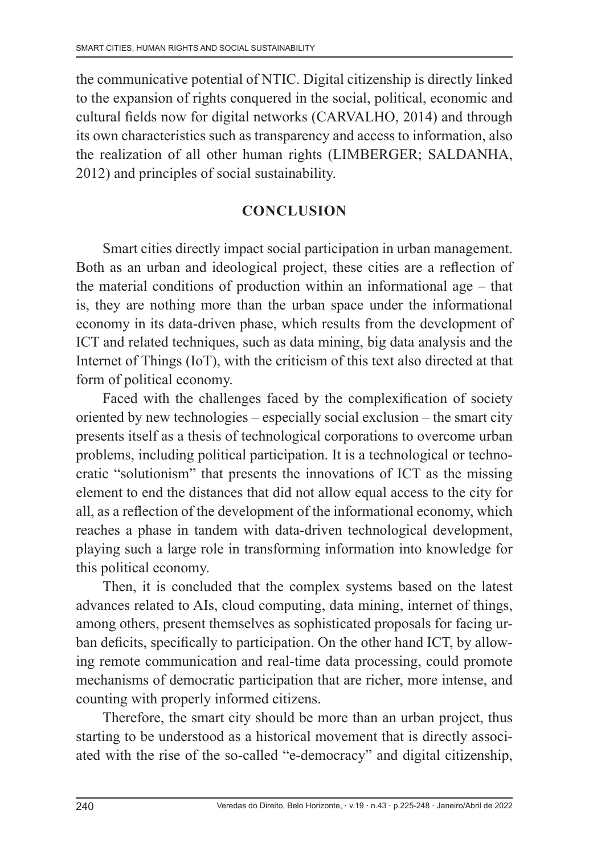the communicative potential of NTIC. Digital citizenship is directly linked to the expansion of rights conquered in the social, political, economic and cultural fields now for digital networks (CARVALHO, 2014) and through its own characteristics such as transparency and access to information, also the realization of all other human rights (LIMBERGER; SALDANHA, 2012) and principles of social sustainability.

## **CONCLUSION**

Smart cities directly impact social participation in urban management. Both as an urban and ideological project, these cities are a reflection of the material conditions of production within an informational age – that is, they are nothing more than the urban space under the informational economy in its data-driven phase, which results from the development of ICT and related techniques, such as data mining, big data analysis and the Internet of Things (IoT), with the criticism of this text also directed at that form of political economy.

Faced with the challenges faced by the complexification of society oriented by new technologies – especially social exclusion – the smart city presents itself as a thesis of technological corporations to overcome urban problems, including political participation. It is a technological or technocratic "solutionism" that presents the innovations of ICT as the missing element to end the distances that did not allow equal access to the city for all, as a reflection of the development of the informational economy, which reaches a phase in tandem with data-driven technological development, playing such a large role in transforming information into knowledge for this political economy.

Then, it is concluded that the complex systems based on the latest advances related to AIs, cloud computing, data mining, internet of things, among others, present themselves as sophisticated proposals for facing urban deficits, specifically to participation. On the other hand ICT, by allowing remote communication and real-time data processing, could promote mechanisms of democratic participation that are richer, more intense, and counting with properly informed citizens.

Therefore, the smart city should be more than an urban project, thus starting to be understood as a historical movement that is directly associated with the rise of the so-called "e-democracy" and digital citizenship,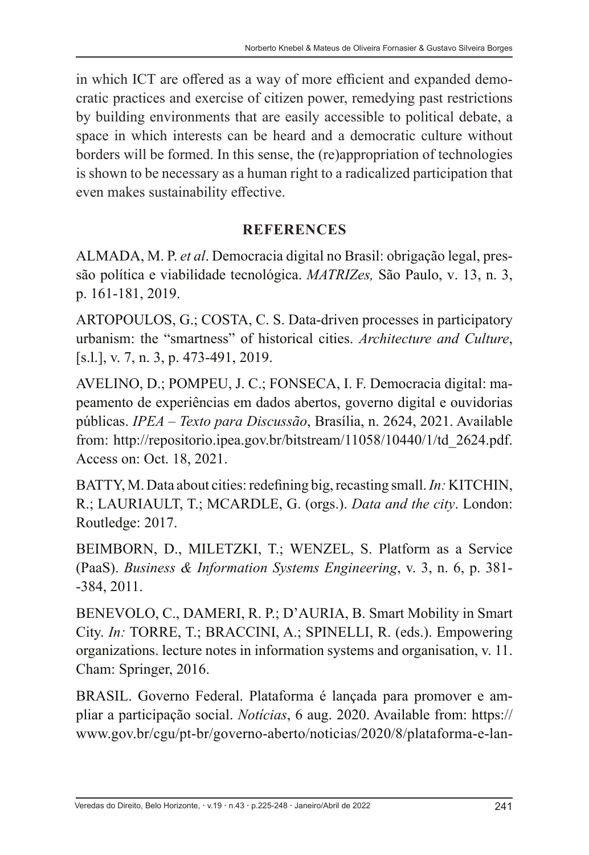in which ICT are offered as a way of more efficient and expanded democratic practices and exercise of citizen power, remedying past restrictions by building environments that are easily accessible to political debate, a space in which interests can be heard and a democratic culture without borders will be formed. In this sense, the (re)appropriation of technologies is shown to be necessary as a human right to a radicalized participation that even makes sustainability effective.

## **REFERENCES**

ALMADA, M. P. *et al*. Democracia digital no Brasil: obrigação legal, pressão política e viabilidade tecnológica. *MATRIZes,* São Paulo, v. 13, n. 3, p. 161-181, 2019.

ARTOPOULOS, G.; COSTA, C. S. Data-driven processes in participatory urbanism: the "smartness" of historical cities. *Architecture and Culture*, [s.l.], v. 7, n. 3, p. 473-491, 2019.

AVELINO, D.; POMPEU, J. C.; FONSECA, I. F. Democracia digital: mapeamento de experiências em dados abertos, governo digital e ouvidorias públicas. *IPEA – Texto para Discussão*, Brasília, n. 2624, 2021. Available from: http://repositorio.ipea.gov.br/bitstream/11058/10440/1/td\_2624.pdf. Access on: Oct. 18, 2021.

BATTY, M. Data about cities: redefining big, recasting small. *In:* KITCHIN, R.; LAURIAULT, T.; MCARDLE, G. (orgs.). *Data and the city*. London: Routledge: 2017.

BEIMBORN, D., MILETZKI, T.; WENZEL, S. Platform as a Service (PaaS). *Business & Information Systems Engineering*, v. 3, n. 6, p. 381- -384, 2011.

BENEVOLO, C., DAMERI, R. P.; D'AURIA, B. Smart Mobility in Smart City. *In:* TORRE, T.; BRACCINI, A.; SPINELLI, R. (eds.). Empowering organizations. lecture notes in information systems and organisation, v. 11. Cham: Springer, 2016.

BRASIL. Governo Federal. Plataforma é lançada para promover e ampliar a participação social. *Notícias*, 6 aug. 2020. Available from: https:// www.gov.br/cgu/pt-br/governo-aberto/noticias/2020/8/plataforma-e-lan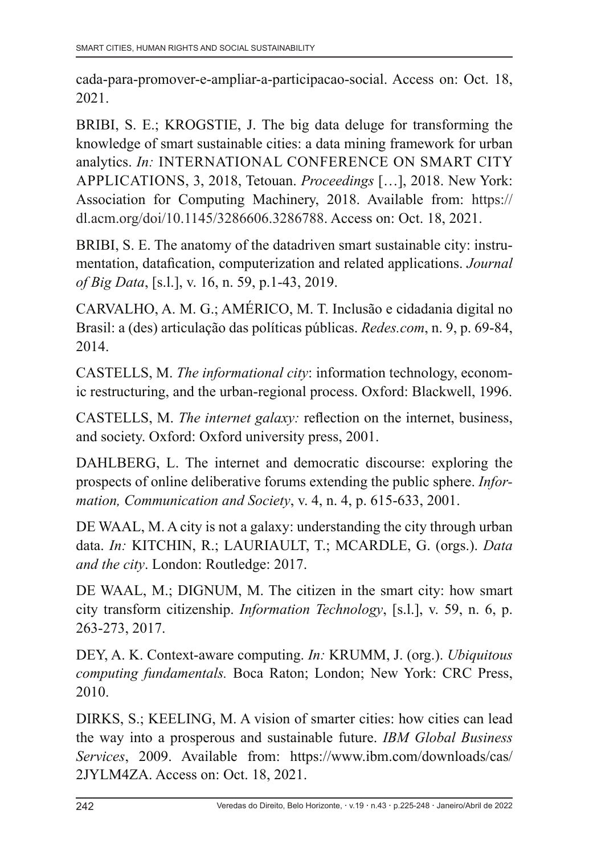cada-para-promover-e-ampliar-a-participacao-social. Access on: Oct. 18, 2021.

BRIBI, S. E.; KROGSTIE, J. The big data deluge for transforming the knowledge of smart sustainable cities: a data mining framework for urban analytics. *In:* INTERNATIONAL CONFERENCE ON SMART CITY APPLICATIONS, 3, 2018, Tetouan. *Proceedings* […], 2018. New York: Association for Computing Machinery, 2018. Available from: https:// dl.acm.org/doi/10.1145/3286606.3286788. Access on: Oct. 18, 2021.

BRIBI, S. E. The anatomy of the datadriven smart sustainable city: instrumentation, datafication, computerization and related applications. *Journal of Big Data*, [s.l.], v. 16, n. 59, p.1-43, 2019.

CARVALHO, A. M. G.; AMÉRICO, M. T. Inclusão e cidadania digital no Brasil: a (des) articulação das políticas públicas. *Redes.com*, n. 9, p. 69-84, 2014.

CASTELLS, M. *The informational city*: information technology, economic restructuring, and the urban-regional process. Oxford: Blackwell, 1996.

CASTELLS, M. *The internet galaxy:* reflection on the internet, business, and society. Oxford: Oxford university press, 2001.

DAHLBERG, L. The internet and democratic discourse: exploring the prospects of online deliberative forums extending the public sphere. *Information, Communication and Society*, v. 4, n. 4, p. 615-633, 2001.

DE WAAL, M. A city is not a galaxy: understanding the city through urban data. *In:* KITCHIN, R.; LAURIAULT, T.; MCARDLE, G. (orgs.). *Data and the city*. London: Routledge: 2017.

DE WAAL, M.; DIGNUM, M. The citizen in the smart city: how smart city transform citizenship. *Information Technology*, [s.l.], v. 59, n. 6, p. 263-273, 2017.

DEY, A. K. Context-aware computing. *In:* KRUMM, J. (org.). *Ubiquitous computing fundamentals.* Boca Raton; London; New York: CRC Press, 2010.

DIRKS, S.; KEELING, M. A vision of smarter cities: how cities can lead the way into a prosperous and sustainable future. *IBM Global Business Services*, 2009. Available from: https://www.ibm.com/downloads/cas/ 2JYLM4ZA. Access on: Oct. 18, 2021.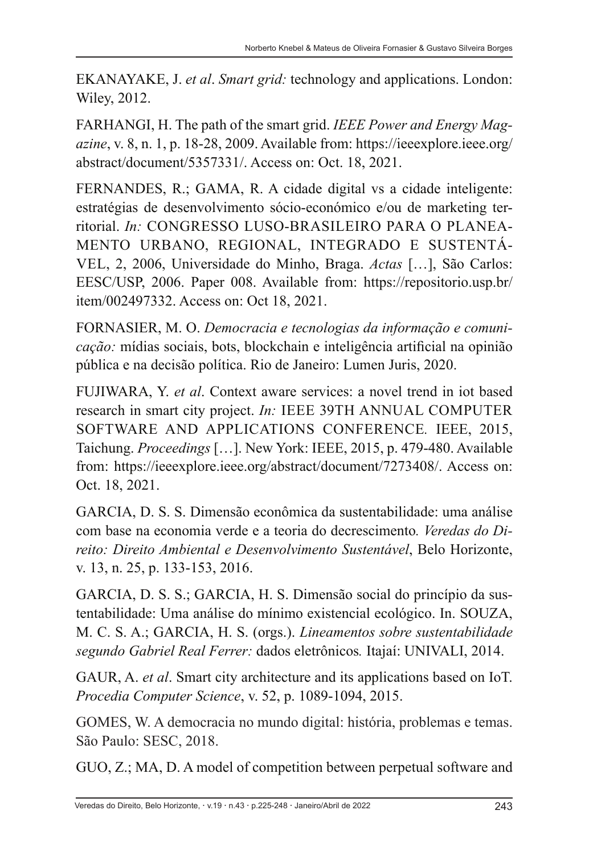EKANAYAKE, J. *et al*. *Smart grid:* technology and applications. London: Wiley, 2012.

FARHANGI, H. The path of the smart grid. *IEEE Power and Energy Magazine*, v. 8, n. 1, p. 18-28, 2009. Available from: https://ieeexplore.ieee.org/ abstract/document/5357331/. Access on: Oct. 18, 2021.

FERNANDES, R.; GAMA, R. A cidade digital vs a cidade inteligente: estratégias de desenvolvimento sócio-económico e/ou de marketing territorial. *In:* CONGRESSO LUSO-BRASILEIRO PARA O PLANEA-MENTO URBANO, REGIONAL, INTEGRADO E SUSTENTÁ-VEL, 2, 2006, Universidade do Minho, Braga. *Actas* […], São Carlos: EESC/USP, 2006. Paper 008. Available from: https://repositorio.usp.br/ item/002497332. Access on: Oct 18, 2021.

FORNASIER, M. O. *Democracia e tecnologias da informação e comunicação:* mídias sociais, bots, blockchain e inteligência artificial na opinião pública e na decisão política. Rio de Janeiro: Lumen Juris, 2020.

FUJIWARA, Y. *et al*. Context aware services: a novel trend in iot based research in smart city project. *In:* IEEE 39TH ANNUAL COMPUTER SOFTWARE AND APPLICATIONS CONFERENCE*.* IEEE, 2015, Taichung. *Proceedings* […]. New York: IEEE, 2015, p. 479-480. Available from: https://ieeexplore.ieee.org/abstract/document/7273408/. Access on: Oct. 18, 2021.

GARCIA, D. S. S. Dimensão econômica da sustentabilidade: uma análise com base na economia verde e a teoria do decrescimento*. Veredas do Direito: Direito Ambiental e Desenvolvimento Sustentável*, Belo Horizonte, v. 13, n. 25, p. 133-153, 2016.

GARCIA, D. S. S.; GARCIA, H. S. Dimensão social do princípio da sustentabilidade: Uma análise do mínimo existencial ecológico. In. SOUZA, M. C. S. A.; GARCIA, H. S. (orgs.). *Lineamentos sobre sustentabilidade segundo Gabriel Real Ferrer:* dados eletrônicos*.* Itajaí: UNIVALI, 2014.

GAUR, A. *et al*. Smart city architecture and its applications based on IoT. *Procedia Computer Science*, v. 52, p. 1089-1094, 2015.

GOMES, W. A democracia no mundo digital: história, problemas e temas. São Paulo: SESC, 2018.

GUO, Z.; MA, D. A model of competition between perpetual software and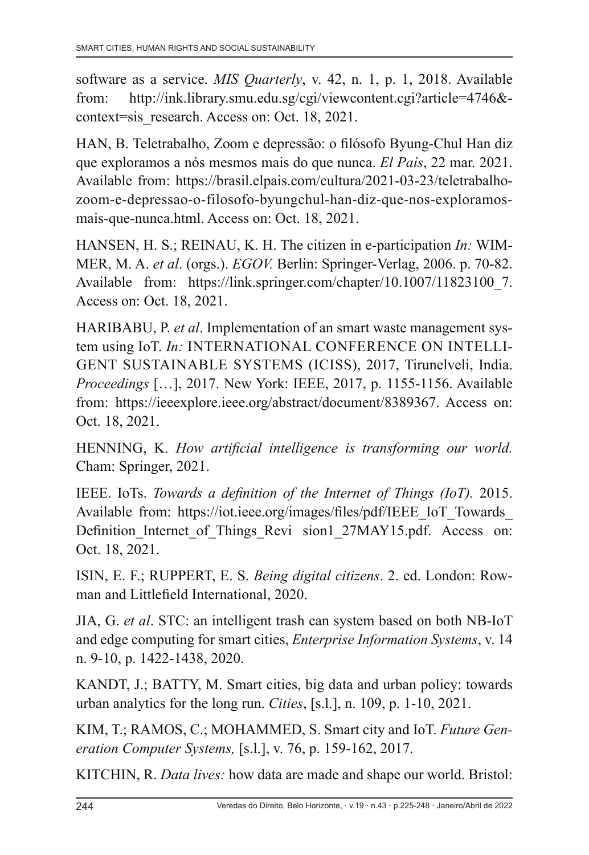software as a service. *MIS Quarterly*, v. 42, n. 1, p. 1, 2018. Available from: http://ink.library.smu.edu.sg/cgi/viewcontent.cgi?article=4746& context=sis\_research. Access on: Oct. 18, 2021.

HAN, B. Teletrabalho, Zoom e depressão: o filósofo Byung-Chul Han diz que exploramos a nós mesmos mais do que nunca. *El País*, 22 mar. 2021. Available from: https://brasil.elpais.com/cultura/2021-03-23/teletrabalhozoom-e-depressao-o-filosofo-byungchul-han-diz-que-nos-exploramosmais-que-nunca.html. Access on: Oct. 18, 2021.

HANSEN, H. S.; REINAU, K. H. The citizen in e-participation *In:* WIM-MER, M. A. *et al*. (orgs.). *EGOV.* Berlin: Springer-Verlag, 2006. p. 70-82. Available from: https://link.springer.com/chapter/10.1007/11823100 7. Access on: Oct. 18, 2021.

HARIBABU, P. *et al*. Implementation of an smart waste management system using IoT. *In:* INTERNATIONAL CONFERENCE ON INTELLI-GENT SUSTAINABLE SYSTEMS (ICISS), 2017, Tirunelveli, India. *Proceedings* […], 2017. New York: IEEE, 2017, p. 1155-1156. Available from: https://ieeexplore.ieee.org/abstract/document/8389367. Access on: Oct. 18, 2021.

HENNING, K. *How artificial intelligence is transforming our world.* Cham: Springer, 2021.

IEEE. IoTs. *Towards a definition of the Internet of Things (IoT).* 2015. Available from: https://iot.ieee.org/images/files/pdf/IEEE\_IoT\_Towards Definition Internet of Things Revi sion1 27MAY15.pdf. Access on: Oct. 18, 2021.

ISIN, E. F.; RUPPERT, E. S. *Being digital citizens*. 2. ed. London: Rowman and Littlefield International, 2020.

JIA, G. *et al*. STC: an intelligent trash can system based on both NB-IoT and edge computing for smart cities, *Enterprise Information Systems*, v. 14 n. 9-10, p. 1422-1438, 2020.

KANDT, J.; BATTY, M. Smart cities, big data and urban policy: towards urban analytics for the long run. *Cities*, [s.l.], n. 109, p. 1-10, 2021.

KIM, T.; RAMOS, C.; MOHAMMED, S. Smart city and IoT. *Future Generation Computer Systems,* [s.l.], v. 76, p. 159-162, 2017.

KITCHIN, R. *Data lives:* how data are made and shape our world. Bristol: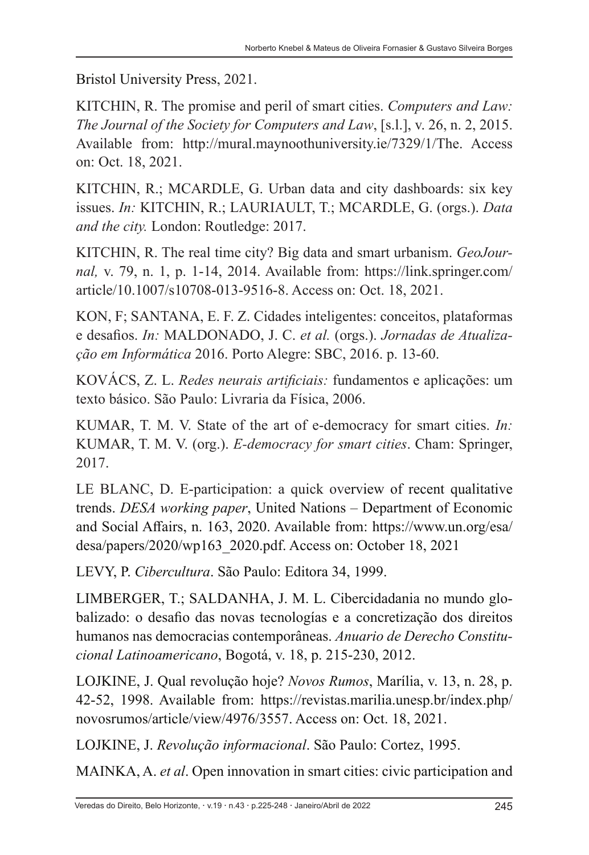Bristol University Press, 2021.

KITCHIN, R. The promise and peril of smart cities. *Computers and Law: The Journal of the Society for Computers and Law*, [s.l.], v. 26, n. 2, 2015. Available from: http://mural.maynoothuniversity.ie/7329/1/The. Access on: Oct. 18, 2021.

KITCHIN, R.; MCARDLE, G. Urban data and city dashboards: six key issues. *In:* KITCHIN, R.; LAURIAULT, T.; MCARDLE, G. (orgs.). *Data and the city.* London: Routledge: 2017.

KITCHIN, R. The real time city? Big data and smart urbanism. *GeoJournal,* v. 79, n. 1, p. 1-14, 2014. Available from: https://link.springer.com/ article/10.1007/s10708-013-9516-8. Access on: Oct. 18, 2021.

KON, F; SANTANA, E. F. Z. Cidades inteligentes: conceitos, plataformas e desafios. *In:* MALDONADO, J. C. *et al.* (orgs.). *Jornadas de Atualização em Informática* 2016. Porto Alegre: SBC, 2016. p. 13-60.

KOVÁCS, Z. L. *Redes neurais artificiais:* fundamentos e aplicações: um texto básico. São Paulo: Livraria da Física, 2006.

KUMAR, T. M. V. State of the art of e-democracy for smart cities. *In:* KUMAR, T. M. V. (org.). *E-democracy for smart cities*. Cham: Springer, 2017.

LE BLANC, D. E-participation: a quick overview of recent qualitative trends. *DESA working paper*, United Nations – Department of Economic and Social Affairs, n. 163, 2020. Available from: https://www.un.org/esa/ desa/papers/2020/wp163\_2020.pdf. Access on: October 18, 2021

LEVY, P. *Cibercultura*. São Paulo: Editora 34, 1999.

LIMBERGER, T.; SALDANHA, J. M. L. Cibercidadania no mundo globalizado: o desafio das novas tecnologías e a concretização dos direitos humanos nas democracias contemporâneas. *Anuario de Derecho Constitucional Latinoamericano*, Bogotá, v. 18, p. 215-230, 2012.

LOJKINE, J. Qual revolução hoje? *Novos Rumos*, Marília, v. 13, n. 28, p. 42-52, 1998. Available from: https://revistas.marilia.unesp.br/index.php/ novosrumos/article/view/4976/3557. Access on: Oct. 18, 2021.

LOJKINE, J. *Revolução informacional*. São Paulo: Cortez, 1995.

MAINKA, A. *et al*. Open innovation in smart cities: civic participation and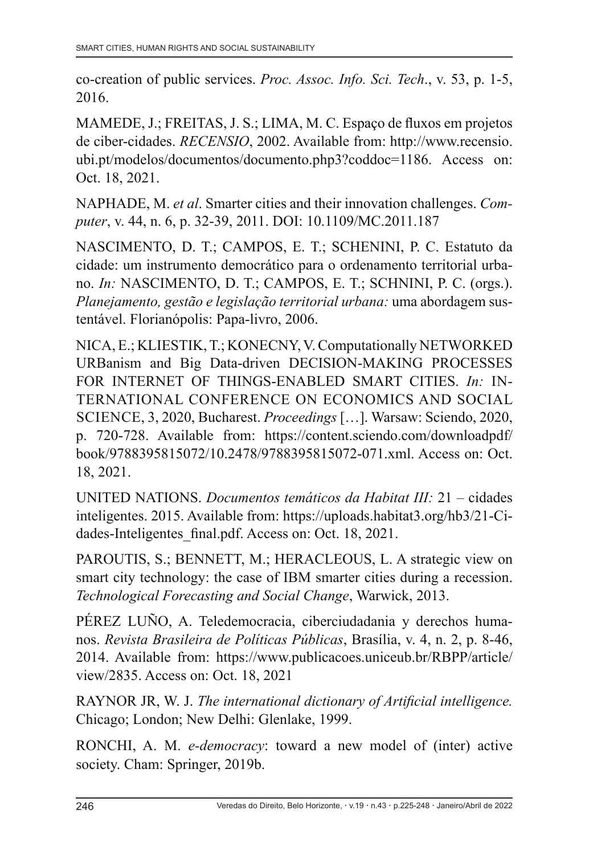co‐creation of public services. *Proc. Assoc. Info. Sci. Tech*., v. 53, p. 1-5, 2016.

MAMEDE, J.; FREITAS, J. S.; LIMA, M. C. Espaço de fluxos em projetos de ciber-cidades. *RECENSIO*, 2002. Available from: http://www.recensio. ubi.pt/modelos/documentos/documento.php3?coddoc=1186. Access on: Oct. 18, 2021.

NAPHADE, M. *et al*. Smarter cities and their innovation challenges. *Computer*, v. 44, n. 6, p. 32-39, 2011. DOI: 10.1109/MC.2011.187

NASCIMENTO, D. T.; CAMPOS, E. T.; SCHENINI, P. C. Estatuto da cidade: um instrumento democrático para o ordenamento territorial urbano. *In:* NASCIMENTO, D. T.; CAMPOS, E. T.; SCHNINI, P. C. (orgs.). *Planejamento, gestão e legislação territorial urbana:* uma abordagem sustentável. Florianópolis: Papa-livro, 2006.

NICA, E.; KLIESTIK, T.; KONECNY, V. Computationally NETWORKED URBanism and Big Data-driven DECISION-MAKING PROCESSES FOR INTERNET OF THINGS-ENABLED SMART CITIES. *In:* IN-TERNATIONAL CONFERENCE ON ECONOMICS AND SOCIAL SCIENCE, 3, 2020, Bucharest. *Proceedings* […]. Warsaw: Sciendo, 2020, p. 720-728. Available from: https://content.sciendo.com/downloadpdf/ book/9788395815072/10.2478/9788395815072-071.xml. Access on: Oct. 18, 2021.

UNITED NATIONS. *Documentos temáticos da Habitat III:* 21 – cidades inteligentes. 2015. Available from: https://uploads.habitat3.org/hb3/21-Cidades-Inteligentes final.pdf. Access on: Oct. 18, 2021.

PAROUTIS, S.; BENNETT, M.; HERACLEOUS, L. A strategic view on smart city technology: the case of IBM smarter cities during a recession. *Technological Forecasting and Social Change*, Warwick, 2013.

PÉREZ LUÑO, A. Teledemocracia, ciberciudadania y derechos humanos. *Revista Brasileira de Políticas Públicas*, Brasília, v. 4, n. 2, p. 8-46, 2014. Available from: https://www.publicacoes.uniceub.br/RBPP/article/ view/2835. Access on: Oct. 18, 2021

RAYNOR JR, W. J. *The international dictionary of Artificial intelligence.* Chicago; London; New Delhi: Glenlake, 1999.

RONCHI, A. M. *e-democracy*: toward a new model of (inter) active society. Cham: Springer, 2019b.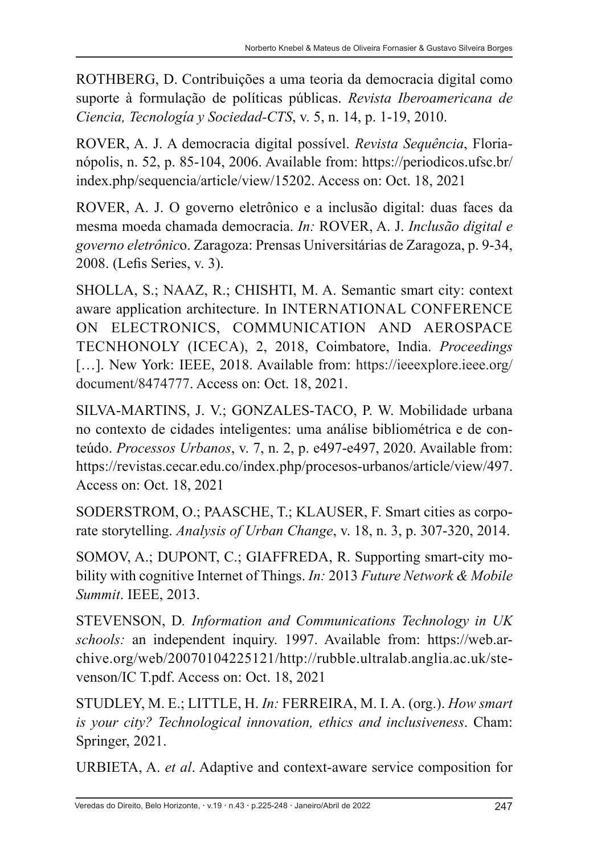ROTHBERG, D. Contribuições a uma teoria da democracia digital como suporte à formulação de políticas públicas. *Revista Iberoamericana de Ciencia, Tecnología y Sociedad-CTS*, v. 5, n. 14, p. 1-19, 2010.

ROVER, A. J. A democracia digital possível. *Revista Sequência*, Florianópolis, n. 52, p. 85-104, 2006. Available from: https://periodicos.ufsc.br/ index.php/sequencia/article/view/15202. Access on: Oct. 18, 2021

ROVER, A. J. O governo eletrônico e a inclusão digital: duas faces da mesma moeda chamada democracia. *In:* ROVER, A. J. *Inclusão digital e governo eletrônic*o. Zaragoza: Prensas Universitárias de Zaragoza, p. 9-34, 2008. (Lefis Series, v. 3).

SHOLLA, S.; NAAZ, R.; CHISHTI, M. A. Semantic smart city: context aware application architecture. In INTERNATIONAL CONFERENCE ON ELECTRONICS, COMMUNICATION AND AEROSPACE TECNHONOLY (ICECA), 2, 2018, Coimbatore, India. *Proceedings*  [...]. New York: IEEE, 2018. Available from: https://ieeexplore.ieee.org/ document/8474777. Access on: Oct. 18, 2021.

SILVA-MARTINS, J. V.; GONZALES-TACO, P. W. Mobilidade urbana no contexto de cidades inteligentes: uma análise bibliométrica e de conteúdo. *Processos Urbanos*, v. 7, n. 2, p. e497-e497, 2020. Available from: https://revistas.cecar.edu.co/index.php/procesos-urbanos/article/view/497. Access on: Oct. 18, 2021

SODERSTROM, O.; PAASCHE, T.; KLAUSER, F. Smart cities as corporate storytelling. *Analysis of Urban Change*, v. 18, n. 3, p. 307-320, 2014.

SOMOV, A.; DUPONT, C.; GIAFFREDA, R. Supporting smart-city mobility with cognitive Internet of Things. *In:* 2013 *Future Network & Mobile Summit*. IEEE, 2013.

STEVENSON, D*. Information and Communications Technology in UK schools:* an independent inquiry. 1997. Available from: https://web.archive.org/web/20070104225121/http://rubble.ultralab.anglia.ac.uk/stevenson/IC T.pdf. Access on: Oct. 18, 2021

STUDLEY, M. E.; LITTLE, H. *In:* FERREIRA, M. I. A. (org.). *How smart is your city? Technological innovation, ethics and inclusiveness*. Cham: Springer, 2021.

URBIETA, A. *et al*. Adaptive and context-aware service composition for